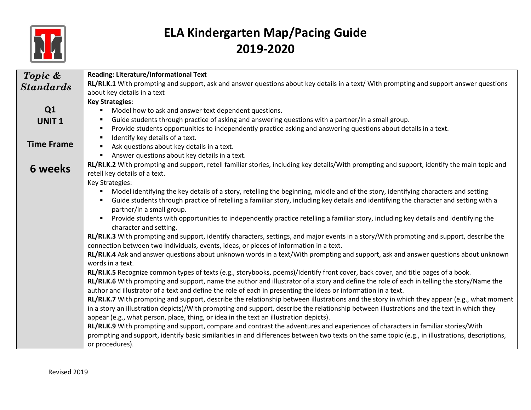

| Topic &           | <b>Reading: Literature/Informational Text</b>                                                                                                    |
|-------------------|--------------------------------------------------------------------------------------------------------------------------------------------------|
| <b>Standards</b>  | RL/RI.K.1 With prompting and support, ask and answer questions about key details in a text/ With prompting and support answer questions          |
|                   | about key details in a text                                                                                                                      |
|                   | <b>Key Strategies:</b>                                                                                                                           |
| Q <sub>1</sub>    | Model how to ask and answer text dependent questions.                                                                                            |
| <b>UNIT1</b>      | Guide students through practice of asking and answering questions with a partner/in a small group.                                               |
|                   | Provide students opportunities to independently practice asking and answering questions about details in a text.                                 |
|                   | Identify key details of a text.                                                                                                                  |
| <b>Time Frame</b> | Ask questions about key details in a text.                                                                                                       |
|                   | Answer questions about key details in a text.                                                                                                    |
|                   | RL/RI.K.2 With prompting and support, retell familiar stories, including key details/With prompting and support, identify the main topic and     |
| 6 weeks           | retell key details of a text.                                                                                                                    |
|                   | Key Strategies:                                                                                                                                  |
|                   | Model identifying the key details of a story, retelling the beginning, middle and of the story, identifying characters and setting               |
|                   | Guide students through practice of retelling a familiar story, including key details and identifying the character and setting with a            |
|                   | partner/in a small group.                                                                                                                        |
|                   | Provide students with opportunities to independently practice retelling a familiar story, including key details and identifying the              |
|                   | character and setting.                                                                                                                           |
|                   | RL/RI.K.3 With prompting and support, identify characters, settings, and major events in a story/With prompting and support, describe the        |
|                   | connection between two individuals, events, ideas, or pieces of information in a text.                                                           |
|                   | RL/RI.K.4 Ask and answer questions about unknown words in a text/With prompting and support, ask and answer questions about unknown              |
|                   | words in a text.                                                                                                                                 |
|                   | RL/RI.K.5 Recognize common types of texts (e.g., storybooks, poems)/Identify front cover, back cover, and title pages of a book.                 |
|                   | RL/RI.K.6 With prompting and support, name the author and illustrator of a story and define the role of each in telling the story/Name the       |
|                   | author and illustrator of a text and define the role of each in presenting the ideas or information in a text.                                   |
|                   | RL/RI.K.7 With prompting and support, describe the relationship between illustrations and the story in which they appear (e.g., what moment      |
|                   | in a story an illustration depicts)/With prompting and support, describe the relationship between illustrations and the text in which they       |
|                   | appear (e.g., what person, place, thing, or idea in the text an illustration depicts).                                                           |
|                   | RL/RI.K.9 With prompting and support, compare and contrast the adventures and experiences of characters in familiar stories/With                 |
|                   | prompting and support, identify basic similarities in and differences between two texts on the same topic (e.g., in illustrations, descriptions, |
|                   | or procedures).                                                                                                                                  |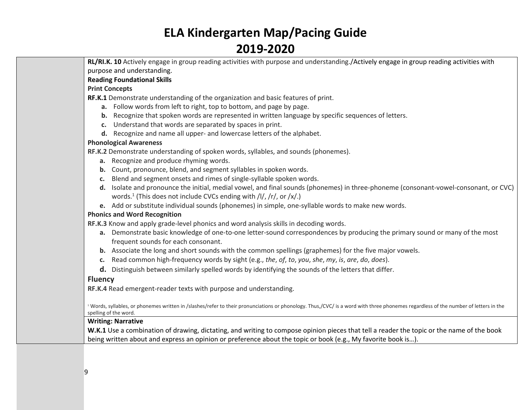**RL/RI.K. 10** Actively engage in group reading activities with purpose and understanding./Actively engage in group reading activities with purpose and understanding.

### **Reading Foundational Skills**

#### **Print Concepts**

**RF.K.1** Demonstrate understanding of the organization and basic features of print.

- **a.** Follow words from left to right, top to bottom, and page by page.
- **b.** Recognize that spoken words are represented in written language by specific sequences of letters.
- **c.** Understand that words are separated by spaces in print.
- **d.** Recognize and name all upper- and lowercase letters of the alphabet.

### **Phonological Awareness**

**[RF.K.2](http://www.corestandards.org/ELA-Literacy/RF/K/2/)** Demonstrate understanding of spoken words, syllables, and sounds (phonemes).

- **a.** Recognize and produce rhyming words.
- **b.** Count, pronounce, blend, and segment syllables in spoken words.
- **c.** Blend and segment onsets and rimes of single-syllable spoken words.
- **d.** Isolate and pronounce the initial, medial vowel, and final sounds (phonemes) in three-phoneme (consonant-vowel-consonant, or CVC) words.<sup>1</sup> (This does not include CVCs ending with /l/, /r/, or /x/.)
- **e.** Add or substitute individual sounds (phonemes) in simple, one-syllable words to make new words.

#### **Phonics and Word Recognition**

**[RF.K.3](http://www.corestandards.org/ELA-Literacy/RF/K/3/)** Know and apply grade-level phonics and word analysis skills in decoding words.

- **a.** Demonstrate basic knowledge of one-to-one letter-sound correspondences by producing the primary sound or many of the most frequent sounds for each consonant.
- **b.** Associate the long and short sounds with the common spellings (graphemes) for the five major vowels.
- **c.** Read common high-frequency words by sight (e.g., *the*, *of*, *to*, *you*, *she*, *my*, *is*, *are*, *do*, *does*).
- **d.** Distinguish between similarly spelled words by identifying the sounds of the letters that differ.

### **Fluency**

**[RF.K.4](http://www.corestandards.org/ELA-Literacy/RF/K/4/)** Read emergent-reader texts with purpose and understanding.

Words, syllables, or phonemes written in /slashes/refer to their pronunciations or phonology. Thus,/CVC/ is a word with three phonemes regardless of the number of letters in the spelling of the word.

### **Writing: Narrative**

**W.K.1** Use a combination of drawing, dictating, and writing to compose opinion pieces that tell a reader the topic or the name of the book being written about and express an opinion or preference about the topic or book (e.g., My favorite book is…).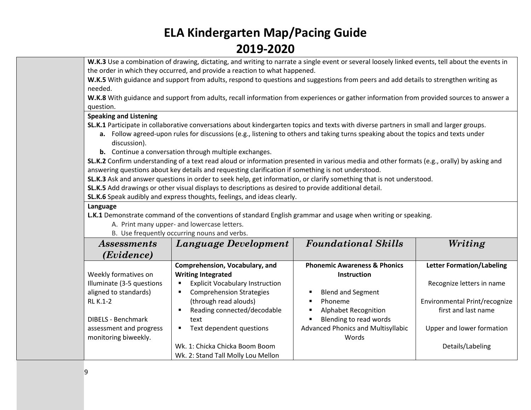W.K.3 Use a combination of drawing, dictating, and writing to narrate a single event or several loosely linked events, tell about the events in the order in which they occurred, and provide a reaction to what happened.

**W.K.5** With guidance and support from adults, respond to questions and suggestions from peers and add details to strengthen writing as needed.

**W.K.8** With guidance and support from adults, recall information from experiences or gather information from provided sources to answer a question.

### **Speaking and Listening**

**SL.K.1** Participate in collaborative conversations about kindergarten topics and texts with diverse partners in small and larger groups.

- **a.** Follow agreed-upon rules for discussions (e.g., listening to others and taking turns speaking about the topics and texts under discussion).
- **b.** Continue a conversation through multiple exchanges.

**SL.K.2** Confirm understanding of a text read aloud or information presented in various media and other formats (e.g., orally) by asking and answering questions about key details and requesting clarification if something is not understood.

**SL.K.3** Ask and answer questions in order to seek help, get information, or clarify something that is not understood.

**SL.K.5** Add drawings or other visual displays to descriptions as desired to provide additional detail.

**SL.K.6** Speak audibly and express thoughts, feelings, and ideas clearly.

### **Language**

**L.K.1** Demonstrate command of the conventions of standard English grammar and usage when writing or speaking.

A. Print many upper- and lowercase letters.

[B.](http://www.corestandards.org/ELA-Literacy/L/K/1/b/) Use frequently occurring nouns and verbs.

| <i>Assessments</i>        | Language Development                          | <b>Foundational Skills</b>                | Writing                          |
|---------------------------|-----------------------------------------------|-------------------------------------------|----------------------------------|
| (Evidence)                |                                               |                                           |                                  |
|                           | Comprehension, Vocabulary, and                | <b>Phonemic Awareness &amp; Phonics</b>   | <b>Letter Formation/Labeling</b> |
| Weekly formatives on      | <b>Writing Integrated</b>                     | <b>Instruction</b>                        |                                  |
| Illuminate (3-5 questions | <b>Explicit Vocabulary Instruction</b><br>п   |                                           | Recognize letters in name        |
| aligned to standards)     | <b>Comprehension Strategies</b><br>٠          | <b>Blend and Segment</b>                  |                                  |
| RL K.1-2                  | (through read alouds)                         | Phoneme                                   | Environmental Print/recognize    |
|                           | Reading connected/decodable<br>$\blacksquare$ | <b>Alphabet Recognition</b>               | first and last name              |
| <b>DIBELS - Benchmark</b> | text                                          | Blending to read words                    |                                  |
| assessment and progress   | Text dependent questions<br>٠                 | <b>Advanced Phonics and Multisyllabic</b> | Upper and lower formation        |
| monitoring biweekly.      |                                               | Words                                     |                                  |
|                           | Wk. 1: Chicka Chicka Boom Boom                |                                           | Details/Labeling                 |
|                           | Wk. 2: Stand Tall Molly Lou Mellon            |                                           |                                  |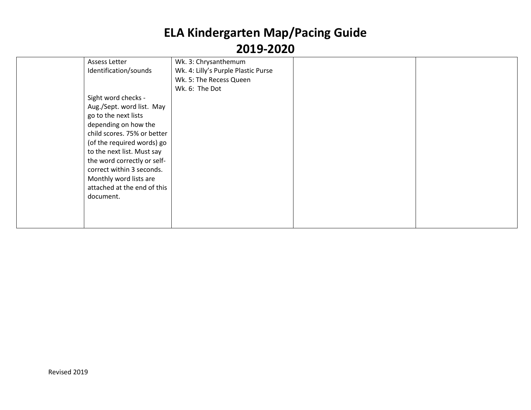| Assess Letter               | Wk. 3: Chrysanthemum                |  |
|-----------------------------|-------------------------------------|--|
| Identification/sounds       | Wk. 4: Lilly's Purple Plastic Purse |  |
|                             | Wk. 5: The Recess Queen             |  |
|                             | Wk. 6: The Dot                      |  |
| Sight word checks -         |                                     |  |
| Aug./Sept. word list. May   |                                     |  |
| go to the next lists        |                                     |  |
| depending on how the        |                                     |  |
| child scores. 75% or better |                                     |  |
| (of the required words) go  |                                     |  |
| to the next list. Must say  |                                     |  |
| the word correctly or self- |                                     |  |
| correct within 3 seconds.   |                                     |  |
| Monthly word lists are      |                                     |  |
| attached at the end of this |                                     |  |
| document.                   |                                     |  |
|                             |                                     |  |
|                             |                                     |  |
|                             |                                     |  |
|                             |                                     |  |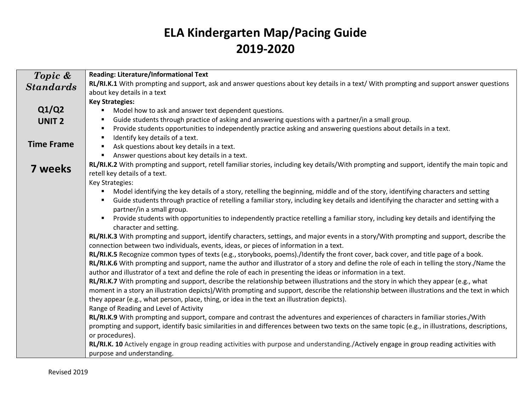| Topic &           | Reading: Literature/Informational Text                                                                                                           |
|-------------------|--------------------------------------------------------------------------------------------------------------------------------------------------|
| <b>Standards</b>  | RL/RI.K.1 With prompting and support, ask and answer questions about key details in a text/ With prompting and support answer questions          |
|                   | about key details in a text                                                                                                                      |
|                   | <b>Key Strategies:</b>                                                                                                                           |
| Q1/Q2             | Model how to ask and answer text dependent questions.<br>٠                                                                                       |
| <b>UNIT 2</b>     | Guide students through practice of asking and answering questions with a partner/in a small group.<br>٠                                          |
|                   | Provide students opportunities to independently practice asking and answering questions about details in a text.                                 |
|                   | Identify key details of a text.<br>$\blacksquare$                                                                                                |
| <b>Time Frame</b> | Ask questions about key details in a text.                                                                                                       |
|                   | Answer questions about key details in a text.                                                                                                    |
| 7 weeks           | RL/RI.K.2 With prompting and support, retell familiar stories, including key details/With prompting and support, identify the main topic and     |
|                   | retell key details of a text.                                                                                                                    |
|                   | Key Strategies:                                                                                                                                  |
|                   | Model identifying the key details of a story, retelling the beginning, middle and of the story, identifying characters and setting               |
|                   | Guide students through practice of retelling a familiar story, including key details and identifying the character and setting with a            |
|                   | partner/in a small group.                                                                                                                        |
|                   | Provide students with opportunities to independently practice retelling a familiar story, including key details and identifying the              |
|                   | character and setting.                                                                                                                           |
|                   | RL/RI.K.3 With prompting and support, identify characters, settings, and major events in a story/With prompting and support, describe the        |
|                   | connection between two individuals, events, ideas, or pieces of information in a text.                                                           |
|                   | RL/RI.K.5 Recognize common types of texts (e.g., storybooks, poems)./Identify the front cover, back cover, and title page of a book.             |
|                   | RL/RI.K.6 With prompting and support, name the author and illustrator of a story and define the role of each in telling the story./Name the      |
|                   | author and illustrator of a text and define the role of each in presenting the ideas or information in a text.                                   |
|                   | RL/RI.K.7 With prompting and support, describe the relationship between illustrations and the story in which they appear (e.g., what             |
|                   | moment in a story an illustration depicts)/With prompting and support, describe the relationship between illustrations and the text in which     |
|                   | they appear (e.g., what person, place, thing, or idea in the text an illustration depicts).                                                      |
|                   | Range of Reading and Level of Activity                                                                                                           |
|                   | RL/RI.K.9 With prompting and support, compare and contrast the adventures and experiences of characters in familiar stories./With                |
|                   | prompting and support, identify basic similarities in and differences between two texts on the same topic (e.g., in illustrations, descriptions, |
|                   | or procedures).                                                                                                                                  |
|                   | RL/RI.K. 10 Actively engage in group reading activities with purpose and understanding./Actively engage in group reading activities with         |
|                   | purpose and understanding.                                                                                                                       |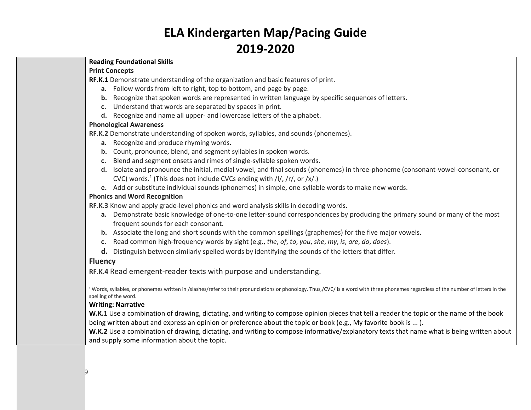### **Reading Foundational Skills**

### **Print Concepts**

**RF.K.1** Demonstrate understanding of the organization and basic features of print.

- **a.** Follow words from left to right, top to bottom, and page by page.
- **b.** Recognize that spoken words are represented in written language by specific sequences of letters.
- **c.** Understand that words are separated by spaces in print.
- **d.** Recognize and name all upper- and lowercase letters of the alphabet.

### **Phonological Awareness**

**[RF.K.2](http://www.corestandards.org/ELA-Literacy/RF/K/2/)** Demonstrate understanding of spoken words, syllables, and sounds (phonemes).

- **a.** Recognize and produce rhyming words.
- **b.** Count, pronounce, blend, and segment syllables in spoken words.
- **c.** Blend and segment onsets and rimes of single-syllable spoken words.
- **d.** Isolate and pronounce the initial, medial vowel, and final sounds (phonemes) in three-phoneme (consonant-vowel-consonant, or CVC) words.<sup>1</sup> (This does not include CVCs ending with  $/$ I $/$ ,  $/$ r $/$ , or  $/$ x $/$ .)
- **e.** Add or substitute individual sounds (phonemes) in simple, one-syllable words to make new words.

### **Phonics and Word Recognition**

**[RF.K.3](http://www.corestandards.org/ELA-Literacy/RF/K/3/)** Know and apply grade-level phonics and word analysis skills in decoding words.

- **a.** Demonstrate basic knowledge of one-to-one letter-sound correspondences by producing the primary sound or many of the most frequent sounds for each consonant.
- **b.** Associate the long and short sounds with the common spellings (graphemes) for the five major vowels.
- **c.** Read common high-frequency words by sight (e.g., *the*, *of*, *to*, *you*, *she*, *my*, *is*, *are*, *do*, *does*).
- **d.** Distinguish between similarly spelled words by identifying the sounds of the letters that differ.

### **Fluency**

**[RF.K.4](http://www.corestandards.org/ELA-Literacy/RF/K/4/)** Read emergent-reader texts with purpose and understanding.

<sup>1</sup> Words, syllables, or phonemes written in /slashes/refer to their pronunciations or phonology. Thus,/CVC/ is a word with three phonemes regardless of the number of letters in the spelling of the word.

#### **Writing: Narrative**

**W.K.1** Use a combination of drawing, dictating, and writing to compose opinion pieces that tell a reader the topic or the name of the book being written about and express an opinion or preference about the topic or book (e.g., My favorite book is ...).

**W.K.2** Use a combination of drawing, dictating, and writing to compose informative/explanatory texts that name what is being written about and supply some information about the topic.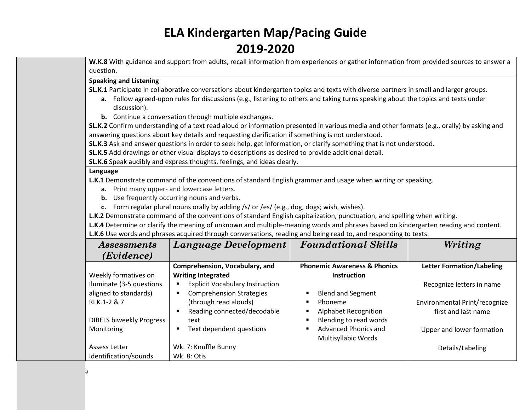**W.K.8** With guidance and support from adults, recall information from experiences or gather information from provided sources to answer a question.

### **Speaking and Listening**

**SL.K.1** Participate in collaborative conversations about kindergarten topics and texts with diverse partners in small and larger groups.

- **a.** Follow agreed-upon rules for discussions (e.g., listening to others and taking turns speaking about the topics and texts under discussion).
- **b.** Continue a conversation through multiple exchanges.

**SL.K.2** Confirm understanding of a text read aloud or information presented in various media and other formats (e.g., orally) by asking and answering questions about key details and requesting clarification if something is not understood.

**SL.K.3** Ask and answer questions in order to seek help, get information, or clarify something that is not understood.

**SL.K.5** Add drawings or other visual displays to descriptions as desired to provide additional detail.

**SL.K.6** Speak audibly and express thoughts, feelings, and ideas clearly.

#### **Language**

**L.K.1** Demonstrate command of the conventions of standard English grammar and usage when writing or speaking.

- **a.** Print many upper- and lowercase letters.
- **b.** Use frequently occurring nouns and verbs.
- **c.** Form regular plural nouns orally by adding /s/ or /es/ (e.g., dog, dogs; wish, wishes).

**L.K.2** Demonstrate command of the conventions of standard English capitalization, punctuation, and spelling when writing.

**L.K.4** Determine or clarify the meaning of unknown and multiple-meaning words and phrases based on kindergarten reading and content. **L.K.6** Use words and phrases acquired through conversations, reading and being read to, and responding to texts.

| <i>Assessments</i>                                | Language Development                                                      | <b>Foundational Skills</b>                                                              | Writing                                              |
|---------------------------------------------------|---------------------------------------------------------------------------|-----------------------------------------------------------------------------------------|------------------------------------------------------|
| (Evidence)                                        |                                                                           |                                                                                         |                                                      |
| Weekly formatives on                              | Comprehension, Vocabulary, and<br><b>Writing Integrated</b>               | <b>Phonemic Awareness &amp; Phonics</b><br><b>Instruction</b>                           | <b>Letter Formation/Labeling</b>                     |
| Iluminate (3-5 questions<br>aligned to standards) | <b>Explicit Vocabulary Instruction</b><br><b>Comprehension Strategies</b> | <b>Blend and Segment</b>                                                                | Recognize letters in name                            |
| RI K.1-2 & 7                                      | (through read alouds)<br>Reading connected/decodable                      | Phoneme<br>٠<br><b>Alphabet Recognition</b>                                             | Environmental Print/recognize<br>first and last name |
| <b>DIBELS biweekly Progress</b><br>Monitoring     | text<br>Text dependent questions                                          | Blending to read words<br>Advanced Phonics and<br>$\blacksquare$<br>Multisyllabic Words | Upper and lower formation                            |
| Assess Letter<br>Identification/sounds            | Wk. 7: Knuffle Bunny<br><b>Wk. 8: Otis</b>                                |                                                                                         | Details/Labeling                                     |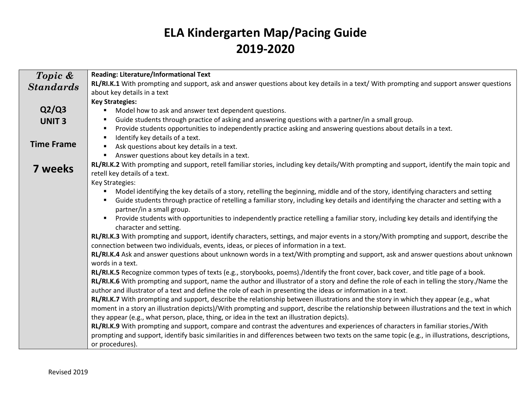| Topic &           | <b>Reading: Literature/Informational Text</b>                                                                                                         |
|-------------------|-------------------------------------------------------------------------------------------------------------------------------------------------------|
| <b>Standards</b>  | RL/RI.K.1 With prompting and support, ask and answer questions about key details in a text/ With prompting and support answer questions               |
|                   | about key details in a text                                                                                                                           |
|                   | <b>Key Strategies:</b>                                                                                                                                |
| Q2/Q3             | Model how to ask and answer text dependent questions.                                                                                                 |
| <b>UNIT3</b>      | Guide students through practice of asking and answering questions with a partner/in a small group.<br>٠                                               |
|                   | Provide students opportunities to independently practice asking and answering questions about details in a text.<br>٠                                 |
|                   | Identify key details of a text.<br>٠                                                                                                                  |
| <b>Time Frame</b> | Ask questions about key details in a text.                                                                                                            |
|                   | Answer questions about key details in a text.                                                                                                         |
| 7 weeks           | RL/RI.K.2 With prompting and support, retell familiar stories, including key details/With prompting and support, identify the main topic and          |
|                   | retell key details of a text.                                                                                                                         |
|                   | Key Strategies:                                                                                                                                       |
|                   | Model identifying the key details of a story, retelling the beginning, middle and of the story, identifying characters and setting                    |
|                   | Guide students through practice of retelling a familiar story, including key details and identifying the character and setting with a                 |
|                   | partner/in a small group.                                                                                                                             |
|                   | Provide students with opportunities to independently practice retelling a familiar story, including key details and identifying the<br>$\blacksquare$ |
|                   | character and setting.                                                                                                                                |
|                   | RL/RI.K.3 With prompting and support, identify characters, settings, and major events in a story/With prompting and support, describe the             |
|                   | connection between two individuals, events, ideas, or pieces of information in a text.                                                                |
|                   | RL/RI.K.4 Ask and answer questions about unknown words in a text/With prompting and support, ask and answer questions about unknown                   |
|                   | words in a text.                                                                                                                                      |
|                   | RL/RI.K.5 Recognize common types of texts (e.g., storybooks, poems)./Identify the front cover, back cover, and title page of a book.                  |
|                   | RL/RI.K.6 With prompting and support, name the author and illustrator of a story and define the role of each in telling the story./Name the           |
|                   | author and illustrator of a text and define the role of each in presenting the ideas or information in a text.                                        |
|                   | RL/RI.K.7 With prompting and support, describe the relationship between illustrations and the story in which they appear (e.g., what                  |
|                   | moment in a story an illustration depicts)/With prompting and support, describe the relationship between illustrations and the text in which          |
|                   | they appear (e.g., what person, place, thing, or idea in the text an illustration depicts).                                                           |
|                   | RL/RI.K.9 With prompting and support, compare and contrast the adventures and experiences of characters in familiar stories./With                     |
|                   | prompting and support, identify basic similarities in and differences between two texts on the same topic (e.g., in illustrations, descriptions,      |
|                   | or procedures).                                                                                                                                       |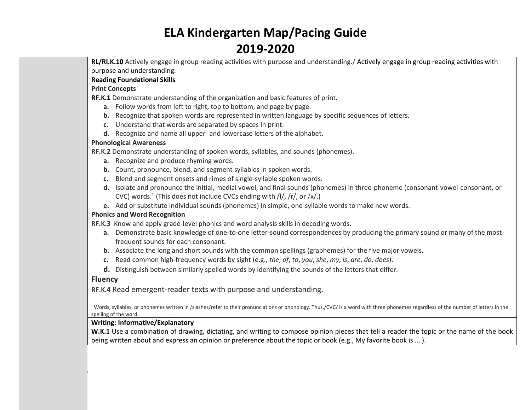**RL/RI.K.10** Actively engage in group reading activities with purpose and understanding./ Actively engage in group reading activities with purpose and understanding.

### **Reading Foundational Skills**

### **Print Concepts**

**RF.K.1** Demonstrate understanding of the organization and basic features of print.

- **a.** Follow words from left to right, top to bottom, and page by page.
- **b.** Recognize that spoken words are represented in written language by specific sequences of letters.
- **c.** Understand that words are separated by spaces in print.
- **d.** Recognize and name all upper- and lowercase letters of the alphabet.

### **Phonological Awareness**

**[RF.K.2](http://www.corestandards.org/ELA-Literacy/RF/K/2/)** Demonstrate understanding of spoken words, syllables, and sounds (phonemes).

- **a.** Recognize and produce rhyming words.
- **b.** Count, pronounce, blend, and segment syllables in spoken words.
- **c.** Blend and segment onsets and rimes of single-syllable spoken words.
- **d.** Isolate and pronounce the initial, medial vowel, and final sounds (phonemes) in three-phoneme (consonant-vowel-consonant, or CVC) words.<sup>1</sup> (This does not include CVCs ending with  $/$ I $/$ ,  $/$ r $/$ , or  $/$ x $/$ .)
- **e.** Add or substitute individual sounds (phonemes) in simple, one-syllable words to make new words.

### **Phonics and Word Recognition**

**[RF.K.3](http://www.corestandards.org/ELA-Literacy/RF/K/3/)** Know and apply grade-level phonics and word analysis skills in decoding words.

- **a.** Demonstrate basic knowledge of one-to-one letter-sound correspondences by producing the primary sound or many of the most frequent sounds for each consonant.
- **b.** Associate the long and short sounds with the common spellings (graphemes) for the five major vowels.
- **c.** Read common high-frequency words by sight (e.g., *the*, *of*, *to*, *you*, *she*, *my*, *is*, *are*, *do*, *does*).
- **d.** Distinguish between similarly spelled words by identifying the sounds of the letters that differ.

### **Fluency**

**[RF.K.4](http://www.corestandards.org/ELA-Literacy/RF/K/4/)** Read emergent-reader texts with purpose and understanding.

<sup>1</sup> Words, syllables, or phonemes written in /slashes/refer to their pronunciations or phonology. Thus,/CVC/ is a word with three phonemes regardless of the number of letters in the spelling of the word.

### **Writing: Informative/Explanatory**

**W.K.1** Use a combination of drawing, dictating, and writing to compose opinion pieces that tell a reader the topic or the name of the book being written about and express an opinion or preference about the topic or book (e.g., My favorite book is ... ).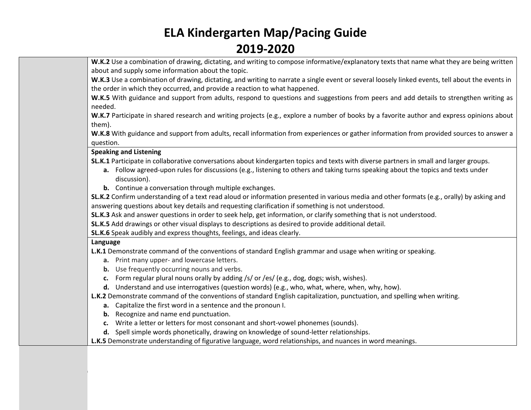**W.K.2** Use a combination of drawing, dictating, and writing to compose informative/explanatory texts that name what they are being written about and supply some information about the topic.

**W.K.3** Use a combination of drawing, dictating, and writing to narrate a single event or several loosely linked events, tell about the events in the order in which they occurred, and provide a reaction to what happened.

**W.K.5** With guidance and support from adults, respond to questions and suggestions from peers and add details to strengthen writing as needed.

**W.K.7** Participate in shared research and writing projects (e.g., explore a number of books by a favorite author and express opinions about them).

**W.K.8** With guidance and support from adults, recall information from experiences or gather information from provided sources to answer a question.

### **Speaking and Listening**

**SL.K.1** Participate in collaborative conversations about kindergarten topics and texts with diverse partners in small and larger groups.

- **a.** Follow agreed-upon rules for discussions (e.g., listening to others and taking turns speaking about the topics and texts under discussion).
- **b.** Continue a conversation through multiple exchanges.

**SL.K.2** Confirm understanding of a text read aloud or information presented in various media and other formats (e.g., orally) by asking and answering questions about key details and requesting clarification if something is not understood.

**SL.K.3** Ask and answer questions in order to seek help, get information, or clarify something that is not understood.

**SL.K.5** Add drawings or other visual displays to descriptions as desired to provide additional detail.

**SL.K.6** Speak audibly and express thoughts, feelings, and ideas clearly.

### **Language**

**L.K.1** Demonstrate command of the conventions of standard English grammar and usage when writing or speaking.

- **a.** Print many upper- and lowercase letters.
- **b.** Use frequently occurring nouns and verbs.
- **c.** Form regular plural nouns orally by adding /s/ or /es/ (e.g., dog, dogs; wish, wishes).
- **d.** Understand and use interrogatives (question words) (e.g., who, what, where, when, why, how).

**L.K.2** Demonstrate command of the conventions of standard English capitalization, punctuation, and spelling when writing.

- **a.** Capitalize the first word in a sentence and the pronoun I.
- **b.** Recognize and name end punctuation.
- **c.** Write a letter or letters for most consonant and short-vowel phonemes (sounds).
- **d.** Spell simple words phonetically, drawing on knowledge of sound-letter relationships.

**L.K.5** Demonstrate understanding of figurative language, word relationships, and nuances in word meanings.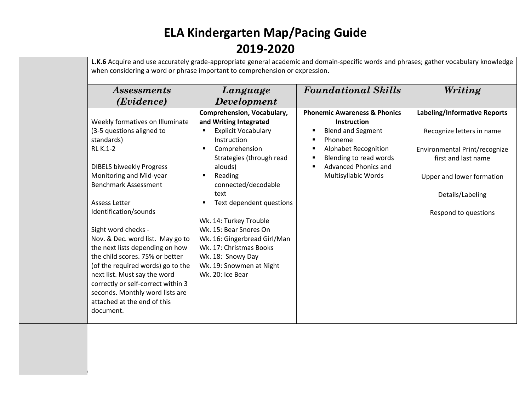Revised 2019

| Comprehension, Vocabulary,<br><b>Phonemic Awareness &amp; Phonics</b><br>Weekly formatives on Illuminate<br>and Writing Integrated<br><b>Instruction</b><br>(3-5 questions aligned to<br><b>Explicit Vocabulary</b><br><b>Blend and Segment</b><br>٠<br>standards)<br>Instruction<br>Phoneme<br>п<br><b>RL K.1-2</b><br>Comprehension<br><b>Alphabet Recognition</b><br>п<br>$\blacksquare$<br>Blending to read words<br>Strategies (through read<br>first and last name<br>$\blacksquare$<br>Advanced Phonics and<br><b>DIBELS biweekly Progress</b><br>alouds)<br>$\blacksquare$<br>Monitoring and Mid-year<br>Multisyllabic Words<br>Reading<br><b>Benchmark Assessment</b><br>connected/decodable<br>text<br>Details/Labeling<br><b>Assess Letter</b><br>Text dependent questions<br>Identification/sounds<br>Respond to questions<br>Wk. 14: Turkey Trouble<br>Wk. 15: Bear Snores On<br>Sight word checks -<br>Nov. & Dec. word list. May go to<br>Wk. 16: Gingerbread Girl/Man<br>the next lists depending on how<br>Wk. 17: Christmas Books<br>the child scores. 75% or better<br>Wk. 18: Snowy Day<br>(of the required words) go to the<br>Wk. 19: Snowmen at Night<br>next list. Must say the word<br>Wk. 20: Ice Bear<br>correctly or self-correct within 3 | <i>Assessments</i><br>(Evidence) | Language<br><b>Development</b> | <b>Foundational Skills</b> | Writing                       |
|------------------------------------------------------------------------------------------------------------------------------------------------------------------------------------------------------------------------------------------------------------------------------------------------------------------------------------------------------------------------------------------------------------------------------------------------------------------------------------------------------------------------------------------------------------------------------------------------------------------------------------------------------------------------------------------------------------------------------------------------------------------------------------------------------------------------------------------------------------------------------------------------------------------------------------------------------------------------------------------------------------------------------------------------------------------------------------------------------------------------------------------------------------------------------------------------------------------------------------------------------------------------|----------------------------------|--------------------------------|----------------------------|-------------------------------|
|                                                                                                                                                                                                                                                                                                                                                                                                                                                                                                                                                                                                                                                                                                                                                                                                                                                                                                                                                                                                                                                                                                                                                                                                                                                                        |                                  |                                |                            | Labeling/Informative Reports  |
|                                                                                                                                                                                                                                                                                                                                                                                                                                                                                                                                                                                                                                                                                                                                                                                                                                                                                                                                                                                                                                                                                                                                                                                                                                                                        |                                  |                                |                            |                               |
|                                                                                                                                                                                                                                                                                                                                                                                                                                                                                                                                                                                                                                                                                                                                                                                                                                                                                                                                                                                                                                                                                                                                                                                                                                                                        |                                  |                                |                            | Recognize letters in name     |
|                                                                                                                                                                                                                                                                                                                                                                                                                                                                                                                                                                                                                                                                                                                                                                                                                                                                                                                                                                                                                                                                                                                                                                                                                                                                        |                                  |                                |                            |                               |
|                                                                                                                                                                                                                                                                                                                                                                                                                                                                                                                                                                                                                                                                                                                                                                                                                                                                                                                                                                                                                                                                                                                                                                                                                                                                        |                                  |                                |                            | Environmental Print/recognize |
|                                                                                                                                                                                                                                                                                                                                                                                                                                                                                                                                                                                                                                                                                                                                                                                                                                                                                                                                                                                                                                                                                                                                                                                                                                                                        |                                  |                                |                            |                               |
|                                                                                                                                                                                                                                                                                                                                                                                                                                                                                                                                                                                                                                                                                                                                                                                                                                                                                                                                                                                                                                                                                                                                                                                                                                                                        |                                  |                                |                            |                               |
|                                                                                                                                                                                                                                                                                                                                                                                                                                                                                                                                                                                                                                                                                                                                                                                                                                                                                                                                                                                                                                                                                                                                                                                                                                                                        |                                  |                                |                            | Upper and lower formation     |
|                                                                                                                                                                                                                                                                                                                                                                                                                                                                                                                                                                                                                                                                                                                                                                                                                                                                                                                                                                                                                                                                                                                                                                                                                                                                        |                                  |                                |                            |                               |
|                                                                                                                                                                                                                                                                                                                                                                                                                                                                                                                                                                                                                                                                                                                                                                                                                                                                                                                                                                                                                                                                                                                                                                                                                                                                        |                                  |                                |                            |                               |
|                                                                                                                                                                                                                                                                                                                                                                                                                                                                                                                                                                                                                                                                                                                                                                                                                                                                                                                                                                                                                                                                                                                                                                                                                                                                        |                                  |                                |                            |                               |
|                                                                                                                                                                                                                                                                                                                                                                                                                                                                                                                                                                                                                                                                                                                                                                                                                                                                                                                                                                                                                                                                                                                                                                                                                                                                        |                                  |                                |                            |                               |
|                                                                                                                                                                                                                                                                                                                                                                                                                                                                                                                                                                                                                                                                                                                                                                                                                                                                                                                                                                                                                                                                                                                                                                                                                                                                        |                                  |                                |                            |                               |
|                                                                                                                                                                                                                                                                                                                                                                                                                                                                                                                                                                                                                                                                                                                                                                                                                                                                                                                                                                                                                                                                                                                                                                                                                                                                        |                                  |                                |                            |                               |
|                                                                                                                                                                                                                                                                                                                                                                                                                                                                                                                                                                                                                                                                                                                                                                                                                                                                                                                                                                                                                                                                                                                                                                                                                                                                        |                                  |                                |                            |                               |
|                                                                                                                                                                                                                                                                                                                                                                                                                                                                                                                                                                                                                                                                                                                                                                                                                                                                                                                                                                                                                                                                                                                                                                                                                                                                        |                                  |                                |                            |                               |
|                                                                                                                                                                                                                                                                                                                                                                                                                                                                                                                                                                                                                                                                                                                                                                                                                                                                                                                                                                                                                                                                                                                                                                                                                                                                        |                                  |                                |                            |                               |
|                                                                                                                                                                                                                                                                                                                                                                                                                                                                                                                                                                                                                                                                                                                                                                                                                                                                                                                                                                                                                                                                                                                                                                                                                                                                        |                                  |                                |                            |                               |
|                                                                                                                                                                                                                                                                                                                                                                                                                                                                                                                                                                                                                                                                                                                                                                                                                                                                                                                                                                                                                                                                                                                                                                                                                                                                        |                                  |                                |                            |                               |
|                                                                                                                                                                                                                                                                                                                                                                                                                                                                                                                                                                                                                                                                                                                                                                                                                                                                                                                                                                                                                                                                                                                                                                                                                                                                        | seconds. Monthly word lists are  |                                |                            |                               |
| attached at the end of this                                                                                                                                                                                                                                                                                                                                                                                                                                                                                                                                                                                                                                                                                                                                                                                                                                                                                                                                                                                                                                                                                                                                                                                                                                            |                                  |                                |                            |                               |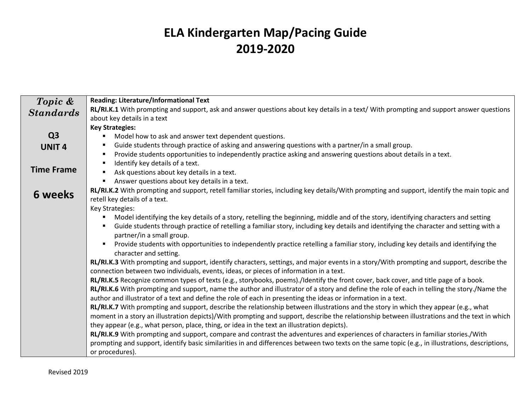| Topic &           | <b>Reading: Literature/Informational Text</b>                                                                                                                      |
|-------------------|--------------------------------------------------------------------------------------------------------------------------------------------------------------------|
| <b>Standards</b>  | RL/RI.K.1 With prompting and support, ask and answer questions about key details in a text/ With prompting and support answer questions                            |
|                   | about key details in a text                                                                                                                                        |
|                   | <b>Key Strategies:</b>                                                                                                                                             |
| Q <sub>3</sub>    | Model how to ask and answer text dependent questions.<br>٠                                                                                                         |
| <b>UNIT4</b>      | Guide students through practice of asking and answering questions with a partner/in a small group.                                                                 |
|                   | Provide students opportunities to independently practice asking and answering questions about details in a text.                                                   |
|                   | Identify key details of a text.                                                                                                                                    |
| <b>Time Frame</b> | Ask questions about key details in a text.                                                                                                                         |
|                   | Answer questions about key details in a text.<br>$\blacksquare$                                                                                                    |
| 6 weeks           | RL/RI.K.2 With prompting and support, retell familiar stories, including key details/With prompting and support, identify the main topic and                       |
|                   | retell key details of a text.                                                                                                                                      |
|                   | Key Strategies:                                                                                                                                                    |
|                   | Model identifying the key details of a story, retelling the beginning, middle and of the story, identifying characters and setting                                 |
|                   | Guide students through practice of retelling a familiar story, including key details and identifying the character and setting with a<br>partner/in a small group. |
|                   | Provide students with opportunities to independently practice retelling a familiar story, including key details and identifying the                                |
|                   | character and setting.                                                                                                                                             |
|                   | RL/RI.K.3 With prompting and support, identify characters, settings, and major events in a story/With prompting and support, describe the                          |
|                   | connection between two individuals, events, ideas, or pieces of information in a text.                                                                             |
|                   | RL/RI.K.5 Recognize common types of texts (e.g., storybooks, poems)./Identify the front cover, back cover, and title page of a book.                               |
|                   | RL/RI.K.6 With prompting and support, name the author and illustrator of a story and define the role of each in telling the story./Name the                        |
|                   | author and illustrator of a text and define the role of each in presenting the ideas or information in a text.                                                     |
|                   | RL/RI.K.7 With prompting and support, describe the relationship between illustrations and the story in which they appear (e.g., what                               |
|                   | moment in a story an illustration depicts)/With prompting and support, describe the relationship between illustrations and the text in which                       |
|                   | they appear (e.g., what person, place, thing, or idea in the text an illustration depicts).                                                                        |
|                   | RL/RI.K.9 With prompting and support, compare and contrast the adventures and experiences of characters in familiar stories./With                                  |
|                   | prompting and support, identify basic similarities in and differences between two texts on the same topic (e.g., in illustrations, descriptions,                   |
|                   | or procedures).                                                                                                                                                    |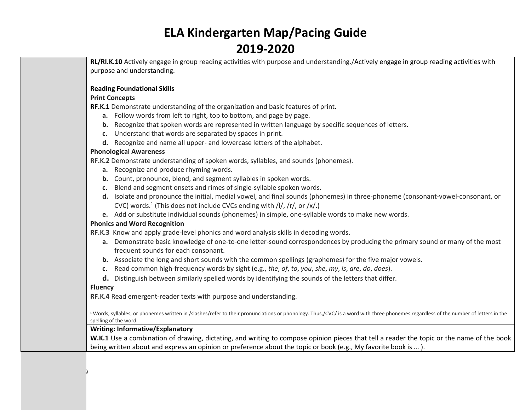**RL/RI.K.10** Actively engage in group reading activities with purpose and understanding./Actively engage in group reading activities with purpose and understanding.

#### **Reading Foundational Skills**

#### **Print Concepts**

**RF.K.1** Demonstrate understanding of the organization and basic features of print.

- **a.** Follow words from left to right, top to bottom, and page by page.
- **b.** Recognize that spoken words are represented in written language by specific sequences of letters.
- **c.** Understand that words are separated by spaces in print.
- **d.** Recognize and name all upper- and lowercase letters of the alphabet.

#### **Phonological Awareness**

**[RF.K.2](http://www.corestandards.org/ELA-Literacy/RF/K/2/)** Demonstrate understanding of spoken words, syllables, and sounds (phonemes).

- **a.** Recognize and produce rhyming words.
- **b.** Count, pronounce, blend, and segment syllables in spoken words.
- **c.** Blend and segment onsets and rimes of single-syllable spoken words.
- **d.** Isolate and pronounce the initial, medial vowel, and final sounds (phonemes) in three-phoneme (consonant-vowel-consonant, or CVC) words.<sup>1</sup> (This does not include CVCs ending with /l/, /r/, or /x/.)
- **e.** Add or substitute individual sounds (phonemes) in simple, one-syllable words to make new words.

### **Phonics and Word Recognition**

**[RF.K.3](http://www.corestandards.org/ELA-Literacy/RF/K/3/)** Know and apply grade-level phonics and word analysis skills in decoding words.

- **a.** Demonstrate basic knowledge of one-to-one letter-sound correspondences by producing the primary sound or many of the most frequent sounds for each consonant.
- **b.** Associate the long and short sounds with the common spellings (graphemes) for the five major vowels.
- **c.** Read common high-frequency words by sight (e.g., *the*, *of*, *to*, *you*, *she*, *my*, *is*, *are*, *do*, *does*).
- **d.** Distinguish between similarly spelled words by identifying the sounds of the letters that differ.

### **Fluency**

Revised 2019

**[RF.K.4](http://www.corestandards.org/ELA-Literacy/RF/K/4/)** Read emergent-reader texts with purpose and understanding.

<sup>1</sup> Words, syllables, or phonemes written in /slashes/refer to their pronunciations or phonology. Thus,/CVC/ is a word with three phonemes regardless of the number of letters in the spelling of the word.

### **Writing: Informative/Explanatory**

W.K.1 Use a combination of drawing, dictating, and writing to compose opinion pieces that tell a reader the topic or the name of the book being written about and express an opinion or preference about the topic or book (e.g., My favorite book is ... ).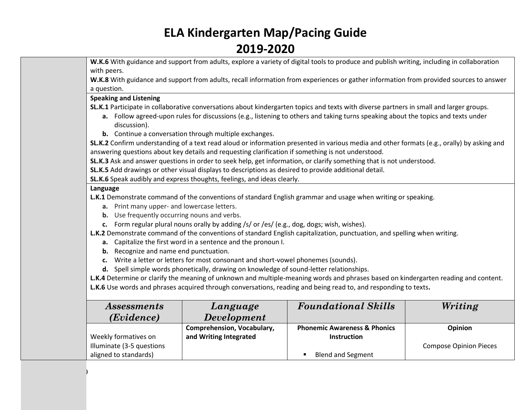**W.K.6** With guidance and support from adults, explore a variety of digital tools to produce and publish writing, including in collaboration with peers.

**W.K.8** With guidance and support from adults, recall information from experiences or gather information from provided sources to answer a question.

#### **Speaking and Listening**

**SL.K.1** Participate in collaborative conversations about kindergarten topics and texts with diverse partners in small and larger groups.

- **a.** Follow agreed-upon rules for discussions (e.g., listening to others and taking turns speaking about the topics and texts under discussion).
- **b.** Continue a conversation through multiple exchanges.

**SL.K.2** Confirm understanding of a text read aloud or information presented in various media and other formats (e.g., orally) by asking and answering questions about key details and requesting clarification if something is not understood.

**SL.K.3** Ask and answer questions in order to seek help, get information, or clarify something that is not understood.

**SL.K.5** Add drawings or other visual displays to descriptions as desired to provide additional detail.

**SL.K.6** Speak audibly and express thoughts, feelings, and ideas clearly.

### **Language**

Revised 2019

**L.K.1** Demonstrate command of the conventions of standard English grammar and usage when writing or speaking.

- **a.** Print many upper- and lowercase letters.
- **b.** Use frequently occurring nouns and verbs.
- **c.** Form regular plural nouns orally by adding /s/ or /es/ (e.g., dog, dogs; wish, wishes).

**L.K.2** Demonstrate command of the conventions of standard English capitalization, punctuation, and spelling when writing.

- **a.** Capitalize the first word in a sentence and the pronoun I.
- **b.** Recognize and name end punctuation.
- **c.** Write a letter or letters for most consonant and short-vowel phonemes (sounds).
- **d.** Spell simple words phonetically, drawing on knowledge of sound-letter relationships.

**L.K.4** Determine or clarify the meaning of unknown and multiple-meaning words and phrases based on kindergarten reading and content. **L.K.6** Use words and phrases acquired through conversations, reading and being read to, and responding to texts**.**

| <i>Assessments</i><br>(Evidence) | Language<br><b>Development</b> | <b>Foundational Skills</b>              | Writing                       |
|----------------------------------|--------------------------------|-----------------------------------------|-------------------------------|
|                                  | Comprehension, Vocabulary,     | <b>Phonemic Awareness &amp; Phonics</b> | <b>Opinion</b>                |
| Weekly formatives on             | and Writing Integrated         | <b>Instruction</b>                      |                               |
| Illuminate (3-5 questions        |                                |                                         | <b>Compose Opinion Pieces</b> |
| aligned to standards)            |                                | <b>Blend and Segment</b>                |                               |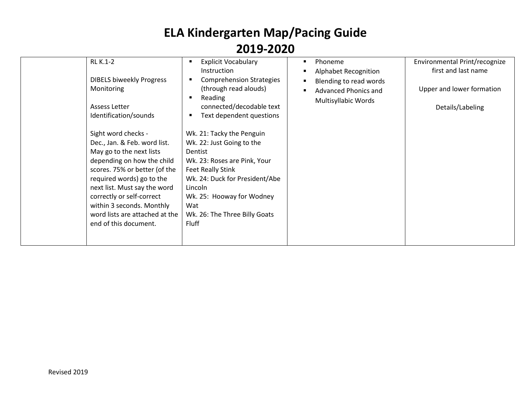| Instruction<br><b>DIBELS biweekly Progress</b><br><b>Comprehension Strategies</b><br>(through read alouds)<br>Monitoring<br>Reading<br>connected/decodable text<br>Assess Letter<br>Identification/sounds<br>Text dependent questions<br>Sight word checks -<br>Wk. 21: Tacky the Penguin<br>Dec., Jan. & Feb. word list.<br>Wk. 22: Just Going to the<br>May go to the next lists<br>Dentist<br>depending on how the child<br>Wk. 23: Roses are Pink, Your<br>scores. 75% or better (of the<br><b>Feet Really Stink</b><br>required words) go to the<br>Wk. 24: Duck for President/Abe<br>next list. Must say the word<br>Lincoln<br>correctly or self-correct<br>Wk. 25: Hooway for Wodney<br>within 3 seconds. Monthly<br>Wat<br>word lists are attached at the<br>Wk. 26: The Three Billy Goats<br>end of this document.<br>Fluff | <b>Alphabet Recognition</b><br>Blending to read words<br><b>Advanced Phonics and</b><br>Multisyllabic Words | first and last name<br>Upper and lower formation<br>Details/Labeling |
|---------------------------------------------------------------------------------------------------------------------------------------------------------------------------------------------------------------------------------------------------------------------------------------------------------------------------------------------------------------------------------------------------------------------------------------------------------------------------------------------------------------------------------------------------------------------------------------------------------------------------------------------------------------------------------------------------------------------------------------------------------------------------------------------------------------------------------------|-------------------------------------------------------------------------------------------------------------|----------------------------------------------------------------------|
|---------------------------------------------------------------------------------------------------------------------------------------------------------------------------------------------------------------------------------------------------------------------------------------------------------------------------------------------------------------------------------------------------------------------------------------------------------------------------------------------------------------------------------------------------------------------------------------------------------------------------------------------------------------------------------------------------------------------------------------------------------------------------------------------------------------------------------------|-------------------------------------------------------------------------------------------------------------|----------------------------------------------------------------------|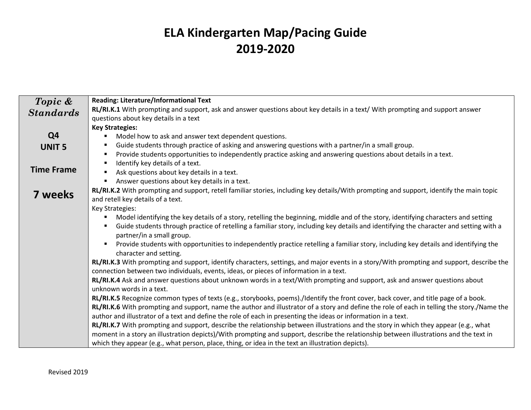| Topic &           | <b>Reading: Literature/Informational Text</b>                                                                                               |
|-------------------|---------------------------------------------------------------------------------------------------------------------------------------------|
|                   | RL/RI.K.1 With prompting and support, ask and answer questions about key details in a text/ With prompting and support answer               |
| <b>Standards</b>  | questions about key details in a text                                                                                                       |
|                   |                                                                                                                                             |
|                   | <b>Key Strategies:</b>                                                                                                                      |
| Q <sub>4</sub>    | Model how to ask and answer text dependent questions.<br>٠                                                                                  |
| <b>UNIT 5</b>     | Guide students through practice of asking and answering questions with a partner/in a small group.<br>٠                                     |
|                   | Provide students opportunities to independently practice asking and answering questions about details in a text.<br>٠                       |
|                   | Identify key details of a text.                                                                                                             |
| <b>Time Frame</b> | Ask questions about key details in a text.                                                                                                  |
|                   | Answer questions about key details in a text.<br>$\blacksquare$                                                                             |
|                   | RL/RI.K.2 With prompting and support, retell familiar stories, including key details/With prompting and support, identify the main topic    |
| <b>7 weeks</b>    | and retell key details of a text.                                                                                                           |
|                   | Key Strategies:                                                                                                                             |
|                   | Model identifying the key details of a story, retelling the beginning, middle and of the story, identifying characters and setting          |
|                   | Guide students through practice of retelling a familiar story, including key details and identifying the character and setting with a       |
|                   | partner/in a small group.                                                                                                                   |
|                   | Provide students with opportunities to independently practice retelling a familiar story, including key details and identifying the<br>٠    |
|                   | character and setting.                                                                                                                      |
|                   | RL/RI.K.3 With prompting and support, identify characters, settings, and major events in a story/With prompting and support, describe the   |
|                   | connection between two individuals, events, ideas, or pieces of information in a text.                                                      |
|                   |                                                                                                                                             |
|                   | RL/RI.K.4 Ask and answer questions about unknown words in a text/With prompting and support, ask and answer questions about                 |
|                   | unknown words in a text.                                                                                                                    |
|                   | RL/RI.K.5 Recognize common types of texts (e.g., storybooks, poems)./Identify the front cover, back cover, and title page of a book.        |
|                   | RL/RI.K.6 With prompting and support, name the author and illustrator of a story and define the role of each in telling the story./Name the |
|                   | author and illustrator of a text and define the role of each in presenting the ideas or information in a text.                              |
|                   | RL/RI.K.7 With prompting and support, describe the relationship between illustrations and the story in which they appear (e.g., what        |
|                   | moment in a story an illustration depicts)/With prompting and support, describe the relationship between illustrations and the text in      |
|                   | which they appear (e.g., what person, place, thing, or idea in the text an illustration depicts).                                           |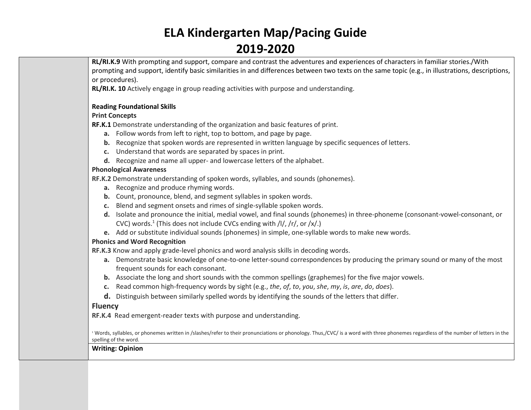**RL/RI.K.9** With prompting and support, compare and contrast the adventures and experiences of characters in familiar stories./With prompting and support, identify basic similarities in and differences between two texts on the same topic (e.g., in illustrations, descriptions, or procedures).

**RL/RI.K. 10** Actively engage in group reading activities with purpose and understanding.

### **Reading Foundational Skills**

### **Print Concepts**

**RF.K.1** Demonstrate understanding of the organization and basic features of print.

- **a.** Follow words from left to right, top to bottom, and page by page.
- **b.** Recognize that spoken words are represented in written language by specific sequences of letters.
- **c.** Understand that words are separated by spaces in print.
- **d.** Recognize and name all upper- and lowercase letters of the alphabet.

### **Phonological Awareness**

**[RF.K.2](http://www.corestandards.org/ELA-Literacy/RF/K/2/)** Demonstrate understanding of spoken words, syllables, and sounds (phonemes).

- **a.** Recognize and produce rhyming words.
- **b.** Count, pronounce, blend, and segment syllables in spoken words.
- **c.** Blend and segment onsets and rimes of single-syllable spoken words.
- **d.** Isolate and pronounce the initial, medial vowel, and final sounds (phonemes) in three-phoneme (consonant-vowel-consonant, or CVC) words.<sup>1</sup> (This does not include CVCs ending with /l/, /r/, or /x/.)
- **e.** Add or substitute individual sounds (phonemes) in simple, one-syllable words to make new words.

### **Phonics and Word Recognition**

**[RF.K.3](http://www.corestandards.org/ELA-Literacy/RF/K/3/)** Know and apply grade-level phonics and word analysis skills in decoding words.

- **a.** Demonstrate basic knowledge of one-to-one letter-sound correspondences by producing the primary sound or many of the most frequent sounds for each consonant.
- **b.** Associate the long and short sounds with the common spellings (graphemes) for the five major vowels.
- **c.** Read common high-frequency words by sight (e.g., *the*, *of*, *to*, *you*, *she*, *my*, *is*, *are*, *do*, *does*).
- **d.** Distinguish between similarly spelled words by identifying the sounds of the letters that differ.

### **Fluency**

**[RF.K.4](http://www.corestandards.org/ELA-Literacy/RF/K/4/)** Read emergent-reader texts with purpose and understanding.

<sup>1</sup> Words, syllables, or phonemes written in /slashes/refer to their pronunciations or phonology. Thus,/CVC/ is a word with three phonemes regardless of the number of letters in the spelling of the word.

### **Writing: Opinion**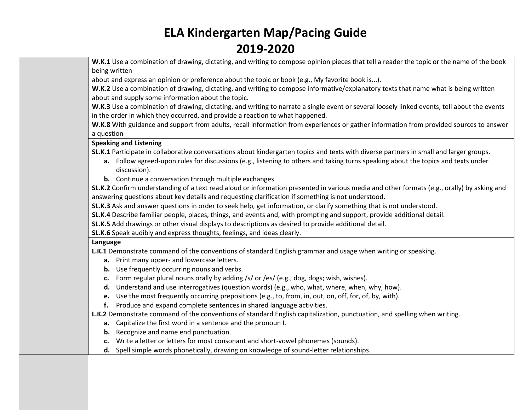**W.K.1** Use a combination of drawing, dictating, and writing to compose opinion pieces that tell a reader the topic or the name of the book being written

about and express an opinion or preference about the topic or book (e.g., My favorite book is...).

**W.K.2** Use a combination of drawing, dictating, and writing to compose informative/explanatory texts that name what is being written about and supply some information about the topic.

**W.K.3** Use a combination of drawing, dictating, and writing to narrate a single event or several loosely linked events, tell about the events in the order in which they occurred, and provide a reaction to what happened.

**W.K.8** With guidance and support from adults, recall information from experiences or gather information from provided sources to answer a question

### **Speaking and Listening**

**SL.K.1** Participate in collaborative conversations about kindergarten topics and texts with diverse partners in small and larger groups.

- **a.** Follow agreed-upon rules for discussions (e.g., listening to others and taking turns speaking about the topics and texts under discussion).
- **b.** Continue a conversation through multiple exchanges.

**SL.K.2** Confirm understanding of a text read aloud or information presented in various media and other formats (e.g., orally) by asking and answering questions about key details and requesting clarification if something is not understood.

**SL.K.3** Ask and answer questions in order to seek help, get information, or clarify something that is not understood.

**SL.K.4** Describe familiar people, places, things, and events and, with prompting and support, provide additional detail.

**SL.K.5** Add drawings or other visual displays to descriptions as desired to provide additional detail.

**SL.K.6** Speak audibly and express thoughts, feelings, and ideas clearly.

### **Language**

**L.K.1** Demonstrate command of the conventions of standard English grammar and usage when writing or speaking.

- **a.** Print many upper- and lowercase letters.
- **b.** Use frequently occurring nouns and verbs.
- **c.** Form regular plural nouns orally by adding /s/ or /es/ (e.g., dog, dogs; wish, wishes).
- **d.** Understand and use interrogatives (question words) (e.g., who, what, where, when, why, how).
- **e.** Use the most frequently occurring prepositions (e.g., to, from, in, out, on, off, for, of, by, with).
- **f.** Produce and expand complete sentences in shared language activities.

**L.K.2** Demonstrate command of the conventions of standard English capitalization, punctuation, and spelling when writing.

- **a.** Capitalize the first word in a sentence and the pronoun I.
- **b.** Recognize and name end punctuation.
- **c.** Write a letter or letters for most consonant and short-vowel phonemes (sounds).
- **d.** Spell simple words phonetically, drawing on knowledge of sound-letter relationships.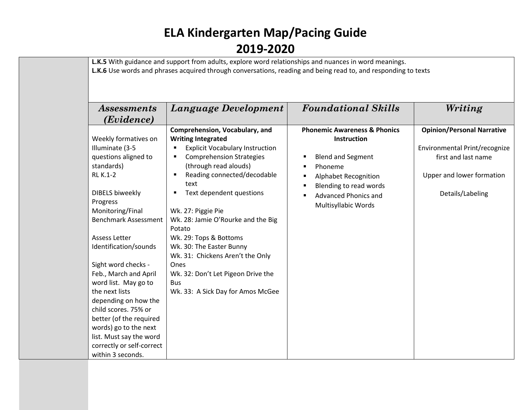|                             | L.K.5 With guidance and support from adults, explore word relationships and nuances in word meanings.          |                                         |                                   |
|-----------------------------|----------------------------------------------------------------------------------------------------------------|-----------------------------------------|-----------------------------------|
|                             | L.K.6 Use words and phrases acquired through conversations, reading and being read to, and responding to texts |                                         |                                   |
|                             |                                                                                                                |                                         |                                   |
|                             |                                                                                                                |                                         |                                   |
|                             |                                                                                                                |                                         |                                   |
| <i>Assessments</i>          | Language Development                                                                                           | <b>Foundational Skills</b>              | Writing                           |
| (Evidence)                  |                                                                                                                |                                         |                                   |
|                             | Comprehension, Vocabulary, and                                                                                 | <b>Phonemic Awareness &amp; Phonics</b> | <b>Opinion/Personal Narrative</b> |
| Weekly formatives on        | <b>Writing Integrated</b>                                                                                      | Instruction                             |                                   |
| Illuminate (3-5             | <b>Explicit Vocabulary Instruction</b><br>٠                                                                    |                                         | Environmental Print/recognize     |
| questions aligned to        | <b>Comprehension Strategies</b><br>٠                                                                           | <b>Blend and Segment</b>                | first and last name               |
| standards)                  | (through read alouds)                                                                                          | Phoneme                                 |                                   |
| <b>RL K.1-2</b>             | Reading connected/decodable<br>$\blacksquare$                                                                  | <b>Alphabet Recognition</b>             | Upper and lower formation         |
|                             | text                                                                                                           | Blending to read words                  |                                   |
| <b>DIBELS biweekly</b>      | Text dependent questions<br>$\blacksquare$                                                                     | <b>Advanced Phonics and</b>             | Details/Labeling                  |
| Progress                    |                                                                                                                |                                         |                                   |
| Monitoring/Final            | Wk. 27: Piggie Pie                                                                                             | Multisyllabic Words                     |                                   |
| <b>Benchmark Assessment</b> | Wk. 28: Jamie O'Rourke and the Big                                                                             |                                         |                                   |
|                             | Potato                                                                                                         |                                         |                                   |
| <b>Assess Letter</b>        | Wk. 29: Tops & Bottoms                                                                                         |                                         |                                   |
| Identification/sounds       | Wk. 30: The Easter Bunny                                                                                       |                                         |                                   |
|                             | Wk. 31: Chickens Aren't the Only                                                                               |                                         |                                   |
| Sight word checks -         | Ones                                                                                                           |                                         |                                   |
| Feb., March and April       | Wk. 32: Don't Let Pigeon Drive the                                                                             |                                         |                                   |
| word list. May go to        | <b>Bus</b>                                                                                                     |                                         |                                   |
| the next lists              | Wk. 33: A Sick Day for Amos McGee                                                                              |                                         |                                   |
| depending on how the        |                                                                                                                |                                         |                                   |
| child scores. 75% or        |                                                                                                                |                                         |                                   |
| better (of the required     |                                                                                                                |                                         |                                   |
| words) go to the next       |                                                                                                                |                                         |                                   |
| list. Must say the word     |                                                                                                                |                                         |                                   |
| correctly or self-correct   |                                                                                                                |                                         |                                   |
| within 3 seconds.           |                                                                                                                |                                         |                                   |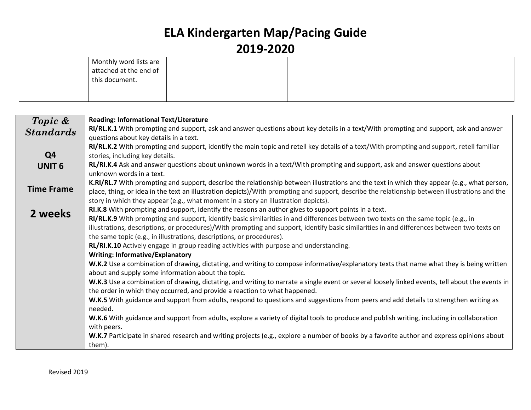| Monthly word lists are<br>attached at the end of<br>this document. |  |  |
|--------------------------------------------------------------------|--|--|
|                                                                    |  |  |

| Topic &           | <b>Reading: Informational Text/Literature</b>                                                                                                   |
|-------------------|-------------------------------------------------------------------------------------------------------------------------------------------------|
| <b>Standards</b>  | RI/RL.K.1 With prompting and support, ask and answer questions about key details in a text/With prompting and support, ask and answer           |
|                   | questions about key details in a text.                                                                                                          |
|                   | RI/RL.K.2 With prompting and support, identify the main topic and retell key details of a text/With prompting and support, retell familiar      |
| Q <sub>4</sub>    | stories, including key details.                                                                                                                 |
| <b>UNIT 6</b>     | RL/RI.K.4 Ask and answer questions about unknown words in a text/With prompting and support, ask and answer questions about                     |
|                   | unknown words in a text.                                                                                                                        |
|                   | K.RI/RL.7 With prompting and support, describe the relationship between illustrations and the text in which they appear (e.g., what person,     |
| <b>Time Frame</b> | place, thing, or idea in the text an illustration depicts)/With prompting and support, describe the relationship between illustrations and the  |
|                   | story in which they appear (e.g., what moment in a story an illustration depicts).                                                              |
| 2 weeks           | RI.K.8 With prompting and support, identify the reasons an author gives to support points in a text.                                            |
|                   | RI/RL.K.9 With prompting and support, identify basic similarities in and differences between two texts on the same topic (e.g., in              |
|                   | illustrations, descriptions, or procedures)/With prompting and support, identify basic similarities in and differences between two texts on     |
|                   | the same topic (e.g., in illustrations, descriptions, or procedures).                                                                           |
|                   | RL/RI.K.10 Actively engage in group reading activities with purpose and understanding.                                                          |
|                   | <b>Writing: Informative/Explanatory</b>                                                                                                         |
|                   | W.K.2 Use a combination of drawing, dictating, and writing to compose informative/explanatory texts that name what they is being written        |
|                   | about and supply some information about the topic.                                                                                              |
|                   | W.K.3 Use a combination of drawing, dictating, and writing to narrate a single event or several loosely linked events, tell about the events in |
|                   | the order in which they occurred, and provide a reaction to what happened.                                                                      |
|                   | W.K.5 With guidance and support from adults, respond to questions and suggestions from peers and add details to strengthen writing as           |
|                   | needed.                                                                                                                                         |
|                   | W.K.6 With guidance and support from adults, explore a variety of digital tools to produce and publish writing, including in collaboration      |
|                   | with peers.                                                                                                                                     |
|                   | W.K.7 Participate in shared research and writing projects (e.g., explore a number of books by a favorite author and express opinions about      |
|                   | them).                                                                                                                                          |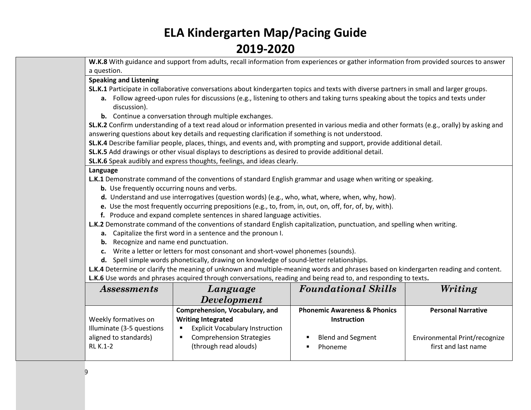**W.K.8** With guidance and support from adults, recall information from experiences or gather information from provided sources to answer a question.

### **Speaking and Listening**

**SL.K.1** Participate in collaborative conversations about kindergarten topics and texts with diverse partners in small and larger groups.

- **a.** Follow agreed-upon rules for discussions (e.g., listening to others and taking turns speaking about the topics and texts under discussion).
- **b.** Continue a conversation through multiple exchanges.

**SL.K.2** Confirm understanding of a text read aloud or information presented in various media and other formats (e.g., orally) by asking and answering questions about key details and requesting clarification if something is not understood.

**SL.K.4** Describe familiar people, places, things, and events and, with prompting and support, provide additional detail.

**SL.K.5** Add drawings or other visual displays to descriptions as desired to provide additional detail.

**SL.K.6** Speak audibly and express thoughts, feelings, and ideas clearly.

#### **Language**

**L.K.1** Demonstrate command of the conventions of standard English grammar and usage when writing or speaking.

- **b.** Use frequently occurring nouns and verbs.
- **d.** Understand and use interrogatives (question words) (e.g., who, what, where, when, why, how).
- **e.** Use the most frequently occurring prepositions (e.g., to, from, in, out, on, off, for, of, by, with).
- **f.** Produce and expand complete sentences in shared language activities.

**L.K.2** Demonstrate command of the conventions of standard English capitalization, punctuation, and spelling when writing.

- **a.** Capitalize the first word in a sentence and the pronoun I.
- **b.** Recognize and name end punctuation.
- **c.** Write a letter or letters for most consonant and short-vowel phonemes (sounds).
- **d.** Spell simple words phonetically, drawing on knowledge of sound-letter relationships.

**L.K.4** Determine or clarify the meaning of unknown and multiple-meaning words and phrases based on kindergarten reading and content. **L.K.6** Use words and phrases acquired through conversations, reading and being read to, and responding to texts**.**

| <i>Assessments</i>        | Language                               | <b>Foundational Skills</b>              |                               |
|---------------------------|----------------------------------------|-----------------------------------------|-------------------------------|
|                           | <b>Development</b>                     |                                         |                               |
|                           | Comprehension, Vocabulary, and         | <b>Phonemic Awareness &amp; Phonics</b> | <b>Personal Narrative</b>     |
| Weekly formatives on      | <b>Writing Integrated</b>              | <b>Instruction</b>                      |                               |
| Illuminate (3-5 questions | <b>Explicit Vocabulary Instruction</b> |                                         |                               |
| aligned to standards)     | <b>Comprehension Strategies</b>        | <b>Blend and Segment</b>                | Environmental Print/recognize |
| <b>RL K.1-2</b>           | (through read alouds)                  | Phoneme                                 | first and last name           |
|                           |                                        |                                         |                               |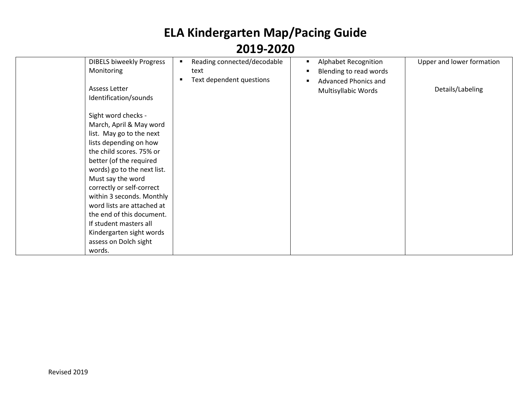| <b>DIBELS biweekly Progress</b><br>Monitoring | Reading connected/decodable<br>text<br>Text dependent questions | <b>Alphabet Recognition</b><br>Blending to read words<br><b>Advanced Phonics and</b> | Upper and lower formation |
|-----------------------------------------------|-----------------------------------------------------------------|--------------------------------------------------------------------------------------|---------------------------|
| Assess Letter<br>Identification/sounds        |                                                                 | Multisyllabic Words                                                                  | Details/Labeling          |
| Sight word checks -                           |                                                                 |                                                                                      |                           |
| March, April & May word                       |                                                                 |                                                                                      |                           |
| list. May go to the next                      |                                                                 |                                                                                      |                           |
| lists depending on how                        |                                                                 |                                                                                      |                           |
| the child scores. 75% or                      |                                                                 |                                                                                      |                           |
| better (of the required                       |                                                                 |                                                                                      |                           |
| words) go to the next list.                   |                                                                 |                                                                                      |                           |
| Must say the word                             |                                                                 |                                                                                      |                           |
| correctly or self-correct                     |                                                                 |                                                                                      |                           |
| within 3 seconds. Monthly                     |                                                                 |                                                                                      |                           |
| word lists are attached at                    |                                                                 |                                                                                      |                           |
| the end of this document.                     |                                                                 |                                                                                      |                           |
| If student masters all                        |                                                                 |                                                                                      |                           |
| Kindergarten sight words                      |                                                                 |                                                                                      |                           |
| assess on Dolch sight                         |                                                                 |                                                                                      |                           |
| words.                                        |                                                                 |                                                                                      |                           |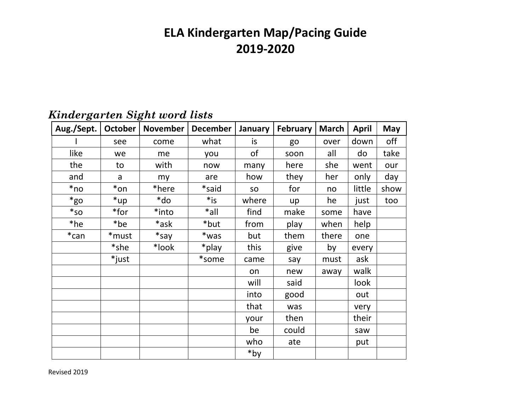| Aug./Sept. | October | November | <b>December</b> | January | <b>February</b> | <b>March</b> | <b>April</b> | May  |
|------------|---------|----------|-----------------|---------|-----------------|--------------|--------------|------|
|            | see     | come     | what            | is.     | go              | over         | down         | off  |
| like       | we      | me       | you             | of      | soon            | all          | do           | take |
| the        | to      | with     | now             | many    | here            | she          | went         | our  |
| and        | a       | my       | are             | how     | they            | her          | only         | day  |
| *no        | *on     | *here    | *said           | SO      | for             | no           | little       | show |
| $*$ go     | *up     | *do      | $*$ is          | where   | up              | he           | just         | too  |
| $*_{SO}$   | *for    | *into    | $*$ all         | find    | make            | some         | have         |      |
| *he        | *be     | *ask     | *but            | from    | play            | when         | help         |      |
| $*$ can    | *must   | $*$ say  | *was            | but     | them            | there        | one          |      |
|            | *she    | *look    | *play           | this    | give            | by           | every        |      |
|            | *just   |          | *some           | came    | say             | must         | ask          |      |
|            |         |          |                 | on      | new             | away         | walk         |      |
|            |         |          |                 | will    | said            |              | look         |      |
|            |         |          |                 | into    | good            |              | out          |      |
|            |         |          |                 | that    | was             |              | very         |      |
|            |         |          |                 | your    | then            |              | their        |      |
|            |         |          |                 | be      | could           |              | saw          |      |
|            |         |          |                 | who     | ate             |              | put          |      |
|            |         |          |                 | *by     |                 |              |              |      |

### *Kindergarten Sight word lists*

Revised 2019